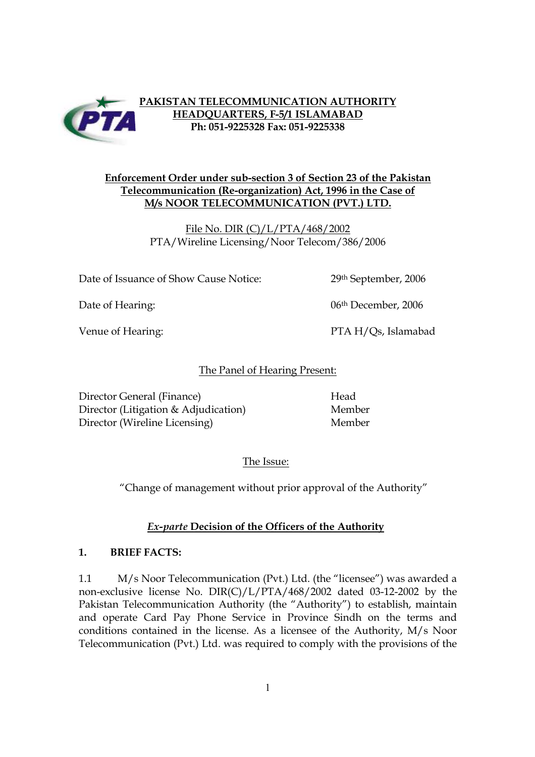

## **PAKISTAN TELECOMMUNICATION AUTHORITY HEADQUARTERS, F-5/1 ISLAMABAD Ph: 051-9225328 Fax: 051-9225338**

## **Enforcement Order under sub-section 3 of Section 23 of the Pakistan Telecommunication (Re-organization) Act, 1996 in the Case of M/s NOOR TELECOMMUNICATION (PVT.) LTD.**

File No. DIR (C)/L/PTA/468/2002 PTA/Wireline Licensing/Noor Telecom/386/2006

Date of Issuance of Show Cause Notice: 29th September, 2006

Date of Hearing: 06th December, 2006

Venue of Hearing: PTA H/Qs, Islamabad

## The Panel of Hearing Present:

Director General (Finance) Head Director (Litigation & Adjudication) Member Director (Wireline Licensing) Member

The Issue:

"Change of management without prior approval of the Authority"

# *Ex-parte* **Decision of the Officers of the Authority**

## **1. BRIEF FACTS:**

1.1 M/s Noor Telecommunication (Pvt.) Ltd. (the "licensee") was awarded a non-exclusive license No. DIR(C)/L/PTA/468/2002 dated 03-12-2002 by the Pakistan Telecommunication Authority (the "Authority") to establish, maintain and operate Card Pay Phone Service in Province Sindh on the terms and conditions contained in the license. As a licensee of the Authority, M/s Noor Telecommunication (Pvt.) Ltd. was required to comply with the provisions of the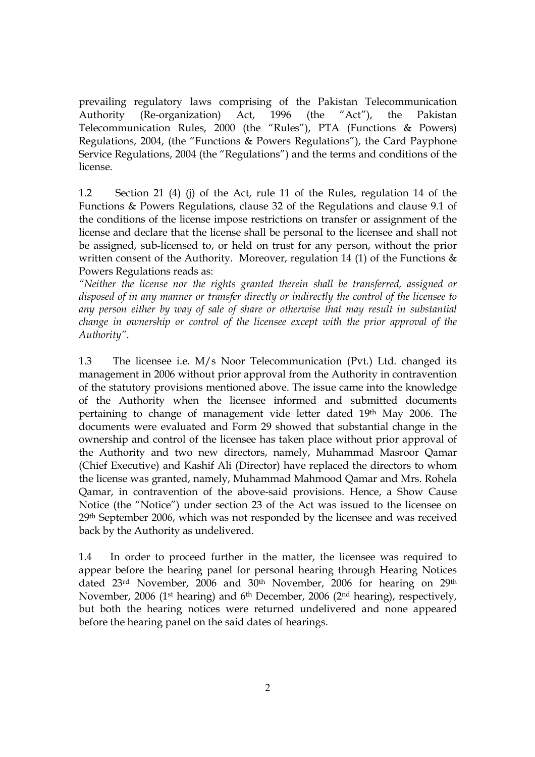prevailing regulatory laws comprising of the Pakistan Telecommunication Authority (Re-organization) Act, 1996 (the "Act"), the Pakistan Telecommunication Rules, 2000 (the "Rules"), PTA (Functions & Powers) Regulations, 2004, (the "Functions & Powers Regulations"), the Card Payphone Service Regulations, 2004 (the "Regulations") and the terms and conditions of the license.

1.2 Section 21 (4) (j) of the Act, rule 11 of the Rules, regulation 14 of the Functions & Powers Regulations, clause 32 of the Regulations and clause 9.1 of the conditions of the license impose restrictions on transfer or assignment of the license and declare that the license shall be personal to the licensee and shall not be assigned, sub-licensed to, or held on trust for any person, without the prior written consent of the Authority. Moreover, regulation 14 (1) of the Functions & Powers Regulations reads as:

*"Neither the license nor the rights granted therein shall be transferred, assigned or disposed of in any manner or transfer directly or indirectly the control of the licensee to any person either by way of sale of share or otherwise that may result in substantial change in ownership or control of the licensee except with the prior approval of the Authority"*.

1.3 The licensee i.e. M/s Noor Telecommunication (Pvt.) Ltd. changed its management in 2006 without prior approval from the Authority in contravention of the statutory provisions mentioned above. The issue came into the knowledge of the Authority when the licensee informed and submitted documents pertaining to change of management vide letter dated 19th May 2006. The documents were evaluated and Form 29 showed that substantial change in the ownership and control of the licensee has taken place without prior approval of the Authority and two new directors, namely, Muhammad Masroor Qamar (Chief Executive) and Kashif Ali (Director) have replaced the directors to whom the license was granted, namely, Muhammad Mahmood Qamar and Mrs. Rohela Qamar, in contravention of the above-said provisions. Hence, a Show Cause Notice (the "Notice") under section 23 of the Act was issued to the licensee on 29th September 2006, which was not responded by the licensee and was received back by the Authority as undelivered.

1.4 In order to proceed further in the matter, the licensee was required to appear before the hearing panel for personal hearing through Hearing Notices dated 23rd November, 2006 and 30th November, 2006 for hearing on 29th November, 2006 (1st hearing) and 6th December, 2006 (2nd hearing), respectively, but both the hearing notices were returned undelivered and none appeared before the hearing panel on the said dates of hearings.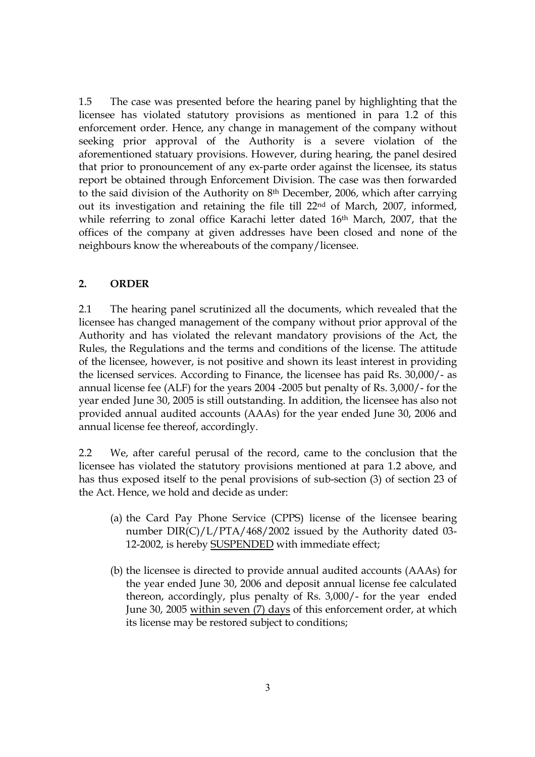1.5 The case was presented before the hearing panel by highlighting that the licensee has violated statutory provisions as mentioned in para 1.2 of this enforcement order. Hence, any change in management of the company without seeking prior approval of the Authority is a severe violation of the aforementioned statuary provisions. However, during hearing, the panel desired that prior to pronouncement of any ex-parte order against the licensee, its status report be obtained through Enforcement Division. The case was then forwarded to the said division of the Authority on 8th December, 2006, which after carrying out its investigation and retaining the file till 22nd of March, 2007, informed, while referring to zonal office Karachi letter dated 16th March, 2007, that the offices of the company at given addresses have been closed and none of the neighbours know the whereabouts of the company/licensee.

#### **2. ORDER**

2.1 The hearing panel scrutinized all the documents, which revealed that the licensee has changed management of the company without prior approval of the Authority and has violated the relevant mandatory provisions of the Act, the Rules, the Regulations and the terms and conditions of the license. The attitude of the licensee, however, is not positive and shown its least interest in providing the licensed services. According to Finance, the licensee has paid Rs. 30,000/- as annual license fee (ALF) for the years 2004 -2005 but penalty of Rs. 3,000/- for the year ended June 30, 2005 is still outstanding. In addition, the licensee has also not provided annual audited accounts (AAAs) for the year ended June 30, 2006 and annual license fee thereof, accordingly.

2.2 We, after careful perusal of the record, came to the conclusion that the licensee has violated the statutory provisions mentioned at para 1.2 above, and has thus exposed itself to the penal provisions of sub-section (3) of section 23 of the Act. Hence, we hold and decide as under:

- (a) the Card Pay Phone Service (CPPS) license of the licensee bearing number DIR(C)/L/PTA/468/2002 issued by the Authority dated 03- 12-2002, is hereby SUSPENDED with immediate effect;
- (b) the licensee is directed to provide annual audited accounts (AAAs) for the year ended June 30, 2006 and deposit annual license fee calculated thereon, accordingly, plus penalty of Rs. 3,000/- for the year ended June 30, 2005 within seven (7) days of this enforcement order, at which its license may be restored subject to conditions;